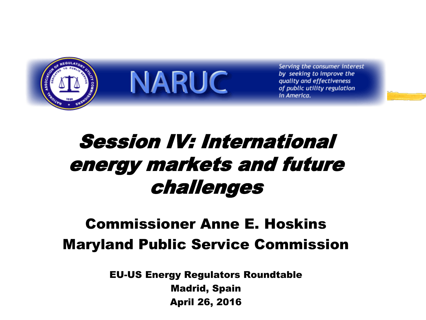

**NARUC** 

Serving the consumer interest by seeking to improve the quality and effectiveness of public utility regulation in America.

### Session IV: International energy markets and future challenges

#### Commissioner Anne E. Hoskins Maryland Public Service Commission

EU-US Energy Regulators Roundtable Madrid, Spain April 26, 2016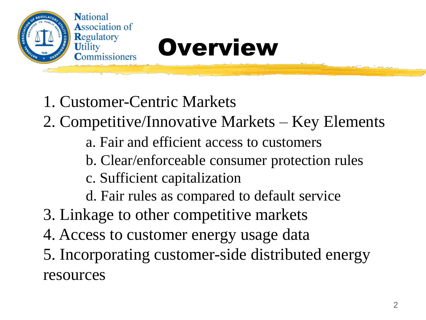

# Regulatory<br>Utility<br>Commissioners Overview

1. Customer-Centric Markets

- 2. Competitive/Innovative Markets Key Elements
	- a. Fair and efficient access to customers
	- b. Clear/enforceable consumer protection rules
	- c. Sufficient capitalization
	- d. Fair rules as compared to default service
- 3. Linkage to other competitive markets
- 4. Access to customer energy usage data
- 5. Incorporating customer-side distributed energy resources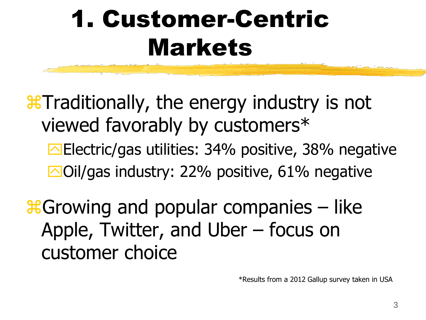# 1. Customer-Centric Markets

**X** Traditionally, the energy industry is not viewed favorably by customers\*

Electric/gas utilities: 34% positive, 38% negative  $\Box$ Oil/gas industry: 22% positive, 61% negative

 $\frac{1}{26}$ Growing and popular companies – like Apple, Twitter, and Uber – focus on customer choice

\*Results from a 2012 Gallup survey taken in USA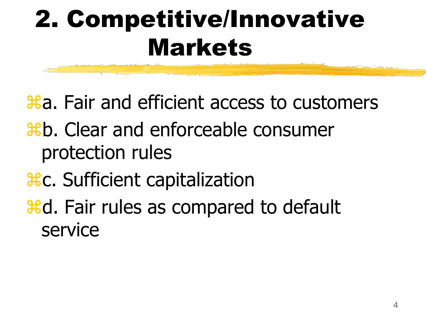# 2. Competitive/Innovative Markets

 $\text{Ha}$ . Fair and efficient access to customers

- b. Clear and enforceable consumer protection rules
- **HC.** Sufficient capitalization

**Heta**. Fair rules as compared to default service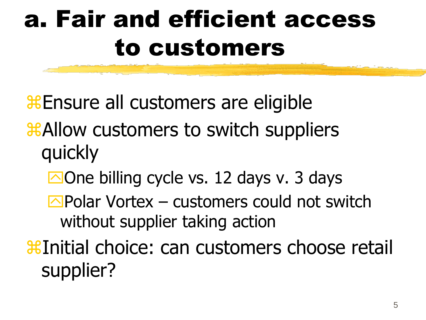### a. Fair and efficient access to customers

**Ensure all customers are eligible** 

- **ALLOW CUSTOMERS TO SWITCH SUPPLIERS** quickly
	- $\Box$  One billing cycle vs. 12 days v. 3 days
	- $\Box$ Polar Vortex customers could not switch without supplier taking action

Initial choice: can customers choose retail supplier?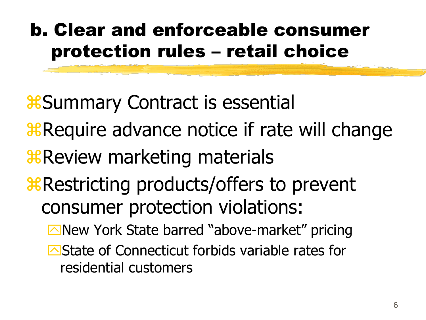#### b. Clear and enforceable consumer protection rules – retail choice

**&Summary Contract is essential** 

- **Require advance notice if rate will change**
- *R* Review marketing materials
- **R** Restricting products/offers to prevent consumer protection violations:
	- New York State barred "above-market" pricing
	- State of Connecticut forbids variable rates for residential customers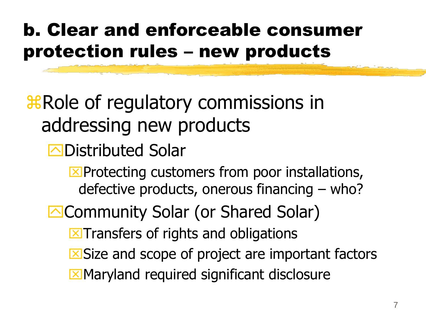#### b. Clear and enforceable consumer protection rules – new products

### **X Role of regulatory commissions in** addressing new products

- **<u></u>⊡Distributed Solar** 
	- $\Sigma$ Protecting customers from poor installations, defective products, onerous financing – who?
- **E**Community Solar (or Shared Solar)
	- $\Sigma$ Transfers of rights and obligations
	- $\Sigma$ Size and scope of project are important factors
	- **Maryland required significant disclosure**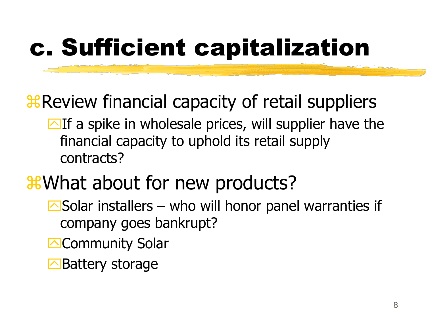# c. Sufficient capitalization

### *R* Review financial capacity of retail suppliers

 $\Box$  If a spike in wholesale prices, will supplier have the financial capacity to uphold its retail supply contracts?

### *X*What about for new products?

- $\Box$  Solar installers who will honor panel warranties if company goes bankrupt?
- **E**Community Solar
- **E**Battery storage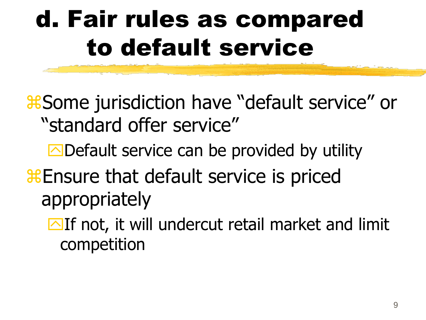### d. Fair rules as compared to default service

**& Some jurisdiction have "default service" or** "standard offer service"

- $\Box$  Default service can be provided by utility
- **& Ensure that default service is priced** appropriately
	- $\Box$  If not, it will undercut retail market and limit competition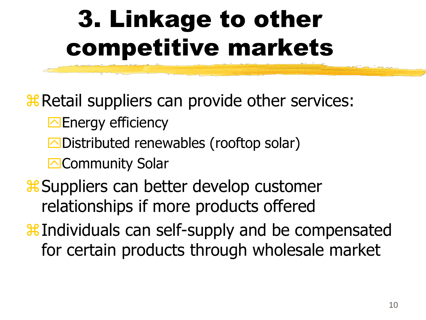# 3. Linkage to other competitive markets

**R Retail suppliers can provide other services:** 

- **Energy efficiency**
- **△Distributed renewables (rooftop solar)**

**E**Community Solar

**& Suppliers can better develop customer** relationships if more products offered

**Heta** Individuals can self-supply and be compensated for certain products through wholesale market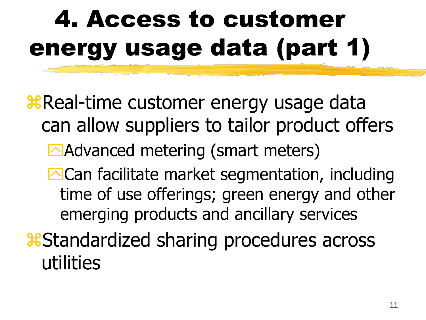# 4. Access to customer energy usage data (part 1)

*R* Real-time customer energy usage data can allow suppliers to tailor product offers Advanced metering (smart meters) **Exalge Can facilitate market segmentation, including** time of use offerings; green energy and other emerging products and ancillary services *Contants across* as a sharting procedures across utilities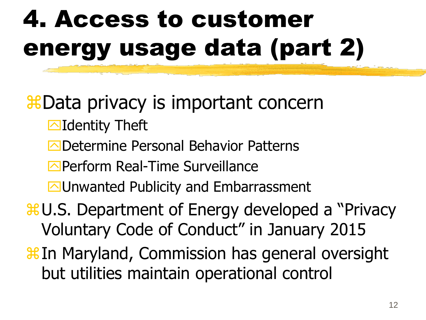# 4. Access to customer energy usage data (part 2)

#### **XEData privacy is important concerned**

- **Identity Theft**
- ODetermine Personal Behavior Patterns
- **E**Perform Real-Time Surveillance
- **M**Unwanted Publicity and Embarrassment
- $\frac{1}{26}$ **U.S. Department of Energy developed a "Privacy"** Voluntary Code of Conduct" in January 2015
- **Heta** In Maryland, Commission has general oversight but utilities maintain operational control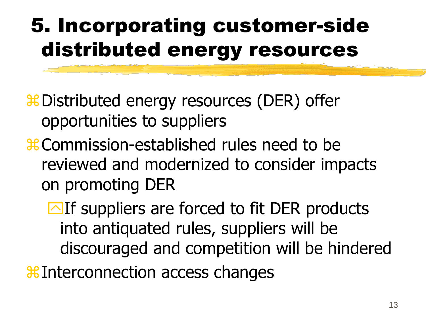### 5. Incorporating customer-side distributed energy resources

**# Distributed energy resources (DER) offer** opportunities to suppliers

**\; 36** Commission-established rules need to be reviewed and modernized to consider impacts on promoting DER

 $\Box$  If suppliers are forced to fit DER products into antiquated rules, suppliers will be discouraged and competition will be hindered

**Helion access changes**